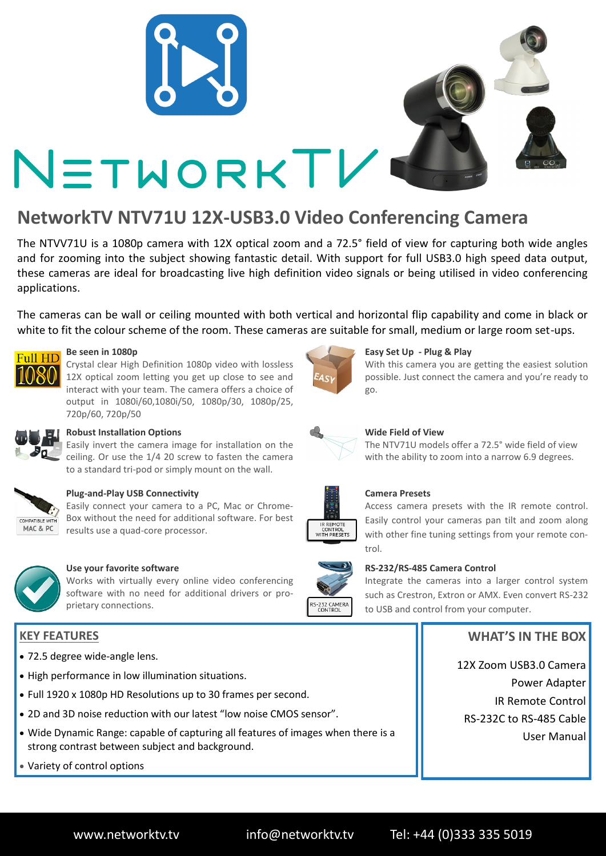

# **NetworkTV NTV71U 12X-USB3.0 Video Conferencing Camera**

The NTVV71U is a 1080p camera with 12X optical zoom and a 72.5° field of view for capturing both wide angles and for zooming into the subject showing fantastic detail. With support for full USB3.0 high speed data output, these cameras are ideal for broadcasting live high definition video signals or being utilised in video conferencing applications.

The cameras can be wall or ceiling mounted with both vertical and horizontal flip capability and come in black or white to fit the colour scheme of the room. These cameras are suitable for small, medium or large room set-ups.



#### **Be seen in 1080p**

Crystal clear High Definition 1080p video with lossless 12X optical zoom letting you get up close to see and interact with your team. The camera offers a choice of output in 1080i/60,1080i/50, 1080p/30, 1080p/25, 720p/60, 720p/50



### **Robust Installation Options**

Easily invert the camera image for installation on the ceiling. Or use the 1/4 20 screw to fasten the camera to a standard tri-pod or simply mount on the wall.



#### **Plug-and-Play USB Connectivity**

Easily connect your camera to a PC, Mac or Chrome-Box without the need for additional software. For best results use a quad-core processor.



#### **Use your favorite software**

Works with virtually every online video conferencing software with no need for additional drivers or proprietary connections.

## **KEY FEATURES**

- 72.5 degree wide-angle lens.
- High performance in low illumination situations.
- Full 1920 x 1080p HD Resolutions up to 30 frames per second.
- 2D and 3D noise reduction with our latest "low noise CMOS sensor".
- Wide Dynamic Range: capable of capturing all features of images when there is a strong contrast between subject and background.

```
 Variety of control options
```


#### **Easy Set Up - Plug & Play**

With this camera you are getting the easiest solution possible. Just connect the camera and you're ready to go.



#### **Wide Field of View**

The NTV71U models offer a 72.5° wide field of view with the ability to zoom into a narrow 6.9 degrees.



#### **Camera Presets**

Access camera presets with the IR remote control. Easily control your cameras pan tilt and zoom along with other fine tuning settings from your remote control.



#### **RS-232/RS-485 Camera Control**

Integrate the cameras into a larger control system such as Crestron, Extron or AMX. Even convert RS-232 to USB and control from your computer.

## **WHAT'S IN THE BOX**

12X Zoom USB3.0 Camera Power Adapter IR Remote Control RS-232C to RS-485 Cable User Manual